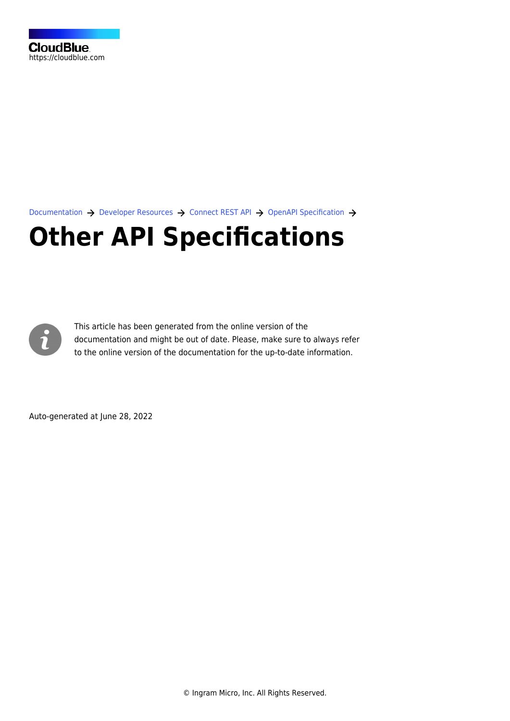[Documentation](https://connect.cloudblue.com/documentation)  $\rightarrow$  [Developer Resources](https://connect.cloudblue.com/community/developers/)  $\rightarrow$  [Connect REST API](https://connect.cloudblue.com/community/developers/api/)  $\rightarrow$  [OpenAPI Specification](https://connect.cloudblue.com/community/developers/api/openapi/)  $\rightarrow$ 

## **[Other API Specifications](https://connect.cloudblue.com/community/developers/api/openapi/other/)**



This article has been generated from the online version of the documentation and might be out of date. Please, make sure to always refer to the online version of the documentation for the up-to-date information.

Auto-generated at June 28, 2022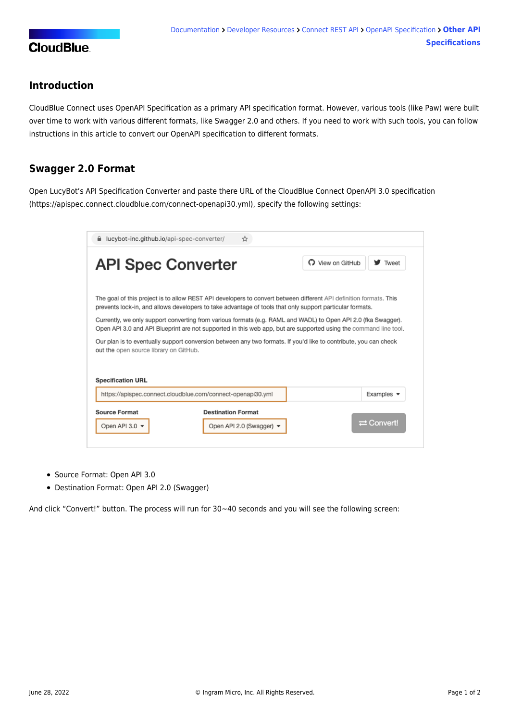## **CloudBlue**

## **Introduction**

CloudBlue Connect uses [OpenAPI Specification](https://connect.cloudblue.com/community/api/openapi/) as a primary API specification format. However, various tools (like [Paw\)](https://connect.cloudblue.com/community/api/rest-clients/paw/) were built over time to work with various different formats, like Swagger 2.0 and others. If you need to work with such tools, you can follow instructions in this article to convert our OpenAPI specification to different formats.

## **Swagger 2.0 Format**

Open [LucyBot's API Specification Converter](https://lucybot-inc.github.io/api-spec-converter/) and paste there URL of the CloudBlue Connect OpenAPI 3.0 specification [\(https://apispec.connect.cloudblue.com/connect-openapi30.yml](https://apispec.connect.cloudblue.com/connect-openapi30.yml)), specify the following settings:

| <b>API Spec Converter</b>                                          |                                                                                                                                                                                                                                | C View on GitHub | $\blacktriangleright$ Tweet    |
|--------------------------------------------------------------------|--------------------------------------------------------------------------------------------------------------------------------------------------------------------------------------------------------------------------------|------------------|--------------------------------|
|                                                                    |                                                                                                                                                                                                                                |                  |                                |
|                                                                    | The goal of this project is to allow REST API developers to convert between different API definition formats. This<br>prevents lock-in, and allows developers to take advantage of tools that only support particular formats. |                  |                                |
|                                                                    | Currently, we only support converting from various formats (e.g. RAML and WADL) to Open API 2.0 (fka Swagger).                                                                                                                 |                  |                                |
|                                                                    | Open API 3.0 and API Blueprint are not supported in this web app, but are supported using the command line tool.                                                                                                               |                  |                                |
|                                                                    | Our plan is to eventually support conversion between any two formats. If you'd like to contribute, you can check                                                                                                               |                  |                                |
|                                                                    |                                                                                                                                                                                                                                |                  |                                |
|                                                                    |                                                                                                                                                                                                                                |                  |                                |
| out the open source library on GitHub.<br><b>Specification URL</b> | https://apispec.connect.cloudblue.com/connect-openapi30.yml                                                                                                                                                                    |                  | Examples $\blacktriangleright$ |
| <b>Source Format</b>                                               | <b>Destination Format</b>                                                                                                                                                                                                      |                  |                                |

- Source Format: Open API 3.0
- Destination Format: Open API 2.0 (Swagger)

And click "Convert!" button. The process will run for 30~40 seconds and you will see the following screen: